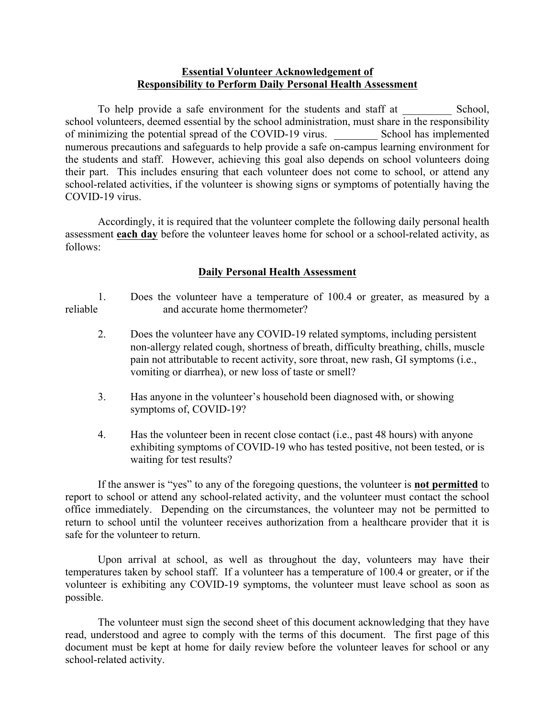## **Essential Volunteer Acknowledgement of Responsibility to Perform Daily Personal Health Assessment**

To help provide a safe environment for the students and staff at School, school volunteers, deemed essential by the school administration, must share in the responsibility of minimizing the potential spread of the COVID-19 virus. School has implemented numerous precautions and safeguards to help provide a safe on-campus learning environment for the students and staff. However, achieving this goal also depends on school volunteers doing their part. This includes ensuring that each volunteer does not come to school, or attend any school-related activities, if the volunteer is showing signs or symptoms of potentially having the COVID-19 virus.

Accordingly, it is required that the volunteer complete the following daily personal health assessment **each day** before the volunteer leaves home for school or a school-related activity, as follows:

## **Daily Personal Health Assessment**

1. Does the volunteer have a temperature of 100.4 or greater, as measured by a reliable and accurate home thermometer?

- 2. Does the volunteer have any COVID-19 related symptoms, including persistent non-allergy related cough, shortness of breath, difficulty breathing, chills, muscle pain not attributable to recent activity, sore throat, new rash, GI symptoms (i.e., vomiting or diarrhea), or new loss of taste or smell?
- 3. Has anyone in the volunteer's household been diagnosed with, or showing symptoms of, COVID-19?
- 4. Has the volunteer been in recent close contact (i.e., past 48 hours) with anyone exhibiting symptoms of COVID-19 who has tested positive, not been tested, or is waiting for test results?

If the answer is "yes" to any of the foregoing questions, the volunteer is **not permitted** to report to school or attend any school-related activity, and the volunteer must contact the school office immediately. Depending on the circumstances, the volunteer may not be permitted to return to school until the volunteer receives authorization from a healthcare provider that it is safe for the volunteer to return.

Upon arrival at school, as well as throughout the day, volunteers may have their temperatures taken by school staff. If a volunteer has a temperature of 100.4 or greater, or if the volunteer is exhibiting any COVID-19 symptoms, the volunteer must leave school as soon as possible.

The volunteer must sign the second sheet of this document acknowledging that they have read, understood and agree to comply with the terms of this document. The first page of this document must be kept at home for daily review before the volunteer leaves for school or any school-related activity.